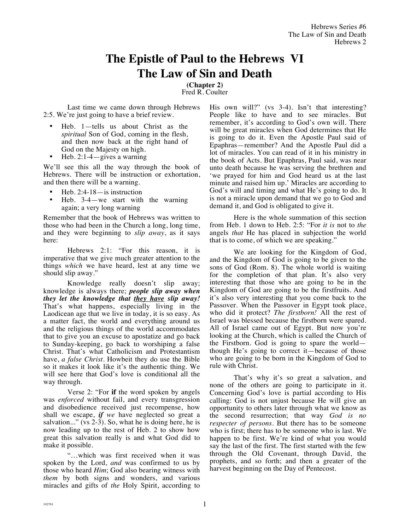## **The Epistle of Paul to the Hebrews VI The Law of Sin and Death**

**(Chapter 2)** Fred R. Coulter

Last time we came down through Hebrews 2:5. We're just going to have a brief review.

- Heb. 1—tells us about Christ as the *spiritual* Son of God, coming in the flesh, and then now back at the right hand of God on the Majesty on high.
- Heb. 2:1-4 $-$ gives a warning

We'll see this all the way through the book of Hebrews. There will be instruction or exhortation, and then there will be a warning.

- Heb.  $2:4-18$  is instruction
- Heb.  $3-4$  we start with the warning again; a very long warning

Remember that the book of Hebrews was written to those who had been in the Church a long, long time, and they were beginning to *slip away*, as it says here:

Hebrews 2:1: "For this reason, it is imperative that we give much greater attention to the things *which* we have heard, lest at any time we should slip away."

Knowledge really doesn't slip away; knowledge is always there; *people slip away when they let the knowledge that they have slip away!* That's what happens, especially living in the Laodicean age that we live in today, it is so easy. As a matter fact, the world and everything around us and the religious things of the world accommodates that to give you an excuse to apostatize and go back to Sunday-keeping, go back to worshiping a false Christ. That's what Catholicism and Protestantism have, *a false Christ.* Howbeit they do use the Bible so it makes it look like it's the authentic thing. We will see here that God's love is conditional all the way through.

Verse 2: "For **if** the word spoken by angels was *enforced* without fail, and every transgression and disobedience received just recompense, how shall we escape, *if we* have neglected so great a salvation..." (vs 2-3). So, what he is doing here, he is now leading up to the rest of Heb. 2 to show how great this salvation really is and what God did to make it possible.

"…which was first received when it was spoken by the Lord, *and* was confirmed to us by those who heard *Him*; God also bearing witness with *them* by both signs and wonders, and various miracles and gifts of *the* Holy Spirit, according to

His own will?" (vs 3-4). Isn't that interesting? People like to have and to see miracles. But remember, it's according to God's own will. There will be great miracles when God determines that He is going to do it. Even the Apostle Paul said of Epaphras—remember? And the Apostle Paul did a lot of miracles. You can read of it in his ministry in the book of Acts. But Epaphras, Paul said, was near unto death because he was serving the brethren and 'we prayed for him and God heard us at the last minute and raised him up.' Miracles are according to God's will and timing and what He's going to do. It is not a miracle upon demand that we go to God and demand it, and God is obligated to give it.

Here is the whole summation of this section from Heb. 1 down to Heb. 2:5: "For *it is* not to *the* angels *that* He has placed in subjection the world that is to come, of which we are speaking."

We are looking for the Kingdom of God, and the Kingdom of God is going to be given to the sons of God (Rom. 8). The whole world is waiting for the completion of that plan. It's also very interesting that those who are going to be in the Kingdom of God are going to be the firstfruits. And it's also very interesting that you come back to the Passover. When the Passover in Egypt took place, who did it protect? *The firstborn!* All the rest of Israel was blessed because the firstborn were spared. All of Israel came out of Egypt. But now you're looking at the Church, which is called the Church of the Firstborn. God is going to spare the world though He's going to correct it—because of those who are going to be born in the Kingdom of God to rule with Christ.

That's why it's so great a salvation, and none of the others are going to participate in it. Concerning God's love is partial according to His calling: God is not unjust because He will give an opportunity to others later through what we know as the second resurrection; that way *God is no respecter of persons.* But there has to be someone who is first; there has to be someone who is last. We happen to be first. We're kind of what you would say the last of the first. The first started with the few through the Old Covenant, through David, the prophets, and so forth; and then a greater of the harvest beginning on the Day of Pentecost.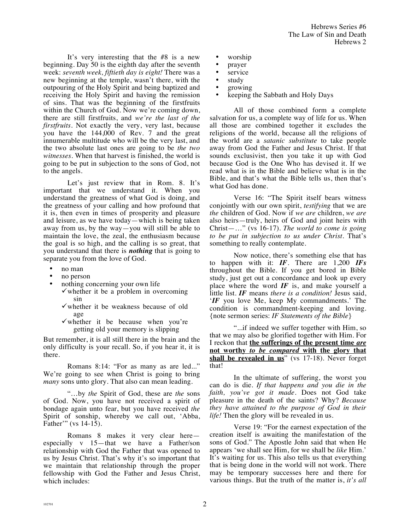It's very interesting that the #8 is a new beginning. Day 50 is the eighth day after the seventh week: *seventh week, fiftieth day is eight!* There was a new beginning at the temple, wasn't there, with the outpouring of the Holy Spirit and being baptized and receiving the Holy Spirit and having the remission of sins. That was the beginning of the firstfruits within the Church of God. Now we're coming down, there are still firstfruits, and *we're the last of the firstfruits*. Not exactly the very, very last, because you have the 144,000 of Rev. 7 and the great innumerable multitude who will be the very last, and the two absolute last ones are going to be *the two witnesses*. When that harvest is finished, the world is going to be put in subjection to the sons of God, not to the angels.

Let's just review that in Rom. 8. It's important that we understand it. When you understand the greatness of what God is doing, and the greatness of your calling and how profound that it is, then even in times of prosperity and pleasure and leisure, as we have today—which is being taken away from us, by the way—you will still be able to maintain the love, the zeal, the enthusiasm because the goal is so high, and the calling is so great, that you understand that there is *nothing* that is going to separate you from the love of God.

- no man
- no person
- nothing concerning your own life
	- $\checkmark$  whether it be a problem in overcoming sin
	- $\checkmark$  whether it be weakness because of old age
	- $\checkmark$  whether it be because when you're getting old your memory is slipping

But remember, it is all still there in the brain and the only difficulty is your recall. So, if you hear it, it is there.

Romans 8:14: "For as many as are led..." We're going to see when Christ is going to bring *many* sons unto glory. That also can mean leading.

"…by *the* Spirit of God, these are *the* sons of God. Now, you have not received a spirit of bondage again unto fear, but you have received *the* Spirit of sonship, whereby we call out, 'Abba, Father'" (vs 14-15).

Romans 8 makes it very clear here especially v 15—that we have a Father/son relationship with God the Father that was opened to us by Jesus Christ. That's why it's so important that we maintain that relationship through the proper fellowship with God the Father and Jesus Christ, which includes:

- worship
- prayer
- service
- study
- growing
- keeping the Sabbath and Holy Days

All of those combined form a complete salvation for us, a complete way of life for us. When all those are combined together it excludes the religions of the world, because all the religions of the world are a *satanic substitute* to take people away from God the Father and Jesus Christ. If that sounds exclusivist, then you take it up with God because God is the One Who has devised it. If we read what is in the Bible and believe what is in the Bible, and that's what the Bible tells us, then that's what God has done.

Verse 16: "The Spirit itself bears witness conjointly with our own spirit, *testifying* that we are *the* children of God. Now if *we are* children, *we are* also heirs—truly, heirs of God and joint heirs with Christ—…" (vs 16-17). *The world to come is going to be put in subjection to us under Christ.* That's something to really contemplate.

Now notice, there's something else that has to happen with it: *IF*. There are 1,200 *IFs* throughout the Bible. If you get bored in Bible study, just get out a concordance and look up every place where the word *IF* is, and make yourself a little list. *IF* means *there is a condition!* Jesus said, '*IF* you love Me, keep My commandments.' The condition is commandment-keeping and loving. {note sermon series: *IF Statements of the Bible*}

"...if indeed we suffer together with Him, so that we may also be glorified together with Him. For I reckon that **the sufferings of the present time** *are* **not worthy** *to be compared* **with the glory that shall be revealed in us**" (vs 17-18). Never forget that!

In the ultimate of suffering, the worst you can do is die. *If that happens and you die in the faith, you've got it made*. Does not God take pleasure in the death of the saints? Why? *Because they have attained to the purpose of God in their life!* Then the glory will be revealed in us.

Verse 19: "For the earnest expectation of the creation itself is awaiting the manifestation of the sons of God." The Apostle John said that when He appears 'we shall see Him, for we shall be *like* Him.' It's waiting for us. This also tells us that everything that is being done in the world will not work. There may be temporary successes here and there for various things. But the truth of the matter is, *it's all*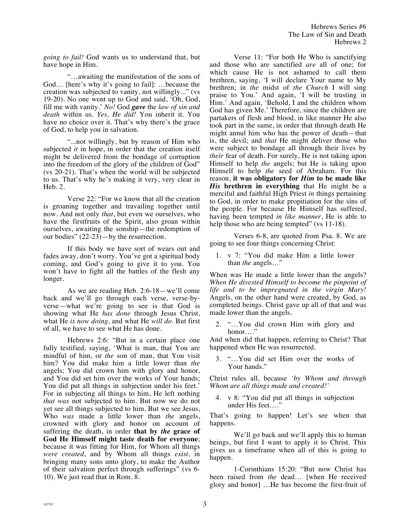*going to fail!* God wants us to understand that, but have hope in Him.

"…awaiting the manifestation of the sons of God… [here's why it's going to fail]: …because the creation was subjected to vanity, not willingly..." (vs 19-20). No one went up to God and said, 'Oh, God, fill me with vanity.' *No!* God *gave* the *law of sin and death* within us. *Yes, He did!* You inherit it. You have no choice over it. That's why there's the grace of God, to help you in salvation.

"...not willingly, but by reason of Him who subjected *it* in hope, in order that the creation itself might be delivered from the bondage of corruption into the freedom of the glory of the children of God" (vs 20-21). That's when the world will be subjected to us. That's why he's making it very, very clear in Heb. 2.

Verse 22: "For we know that all the creation is groaning together and travailing together until now. And not only *that*, but even we ourselves, who have the firstfruits of the Spirit, also groan within ourselves, awaiting the sonship—the redemption of our bodies" (22-23)—by the resurrection.

If this body we have sort of wears out and fades away, don't worry. You've got a spiritual body coming, and God's going to give it to you. You won't have to fight all the battles of the flesh any longer.

As we are reading Heb. 2:6-18—we'll come back and we'll go through each verse, verse-byverse—what we're going to see is that God is showing what He *has done* through Jesus Christ, what He *is now doing*, and what He *will do*. But first of all, we have to see what He has done.

Hebrews 2:6: "But in a certain place one fully testified, saying, 'What is man, that You are mindful of him, or *the* son of man, that You visit him? You did make him a little lower than *the* angels; You did crown him with glory and honor, and You did set him over the works of Your hands; You did put all things in subjection under his feet.' For in subjecting all things to him, He left nothing *that was* not subjected to him. But now we do not yet see all things subjected to him. But we see Jesus, Who *was* made a little lower than *the* angels, crowned with glory and honor on account of suffering the death, in order **that by** *the* **grace of God He Himself might taste death for everyone**; because it was fitting for Him, for Whom all things *were created*, and by Whom all things *exist*, in bringing many sons unto glory, to make the Author of their salvation perfect through sufferings" (vs 6- 10). We just read that in Rom. 8.

Verse 11: "For both He Who is sanctifying and those who are sanctified *are* all of one; for which cause He is not ashamed to call them brethren, saying, 'I will declare Your name to My brethren; in *the* midst of *the Church* I will sing praise to You.' And again, 'I will be trusting in Him.' And again, 'Behold, I and the children whom God has given Me.' Therefore, since the children are partakers of flesh and blood, in like manner He also took part in the same, in order that through death He might annul him who has the power of death—that is, the devil; and *that* He might deliver those who were subject to bondage all through their lives by *their* fear of death. For surely, He is not taking upon Himself to help *the* angels; but He is taking upon Himself to help *the* seed of Abraham. For this reason, **it was obligatory for** *Him* **to be made like**  *His* **brethren in everything** that He might be a merciful and faithful High Priest *in* things pertaining to God, in order to make propitiation for the sins of the people. For because He Himself has suffered, having been tempted *in like manner*, He is able to help those who are being tempted" (vs 11-18).

Verses 6-8, are quoted from Psa. 8. We are going to see four things concerning Christ:

1. v 7: "You did make Him a little lower than *the* angels…"

When was He made a little lower than the angels? *When He divested Himself to become the pinpoint of life and to be impregnated in the virgin Mary!* Angels, on the other hand were created, by God, as completed beings. Christ gave up all of that and was made lower than the angels.

2. "…You did crown Him with glory and honor…."

And when did that happen, referring to Christ? That happened when He was resurrected.

3. "…You did set Him over the works of Your hands."

Christ rules all, because *'by Whom and through Whom are all things made and created!'*

4. v 8: "You did put all things in subjection under His feet…."

That's going to happen! Let's see when that happens.

We'll go back and we'll apply this to human beings, but first I want to apply it to Christ. This gives us a timeframe when all of this is going to happen.

1-Corinthians 15:20: "But now Christ has been raised from *the* dead… [when He received glory and honor] …He has become the first-fruit of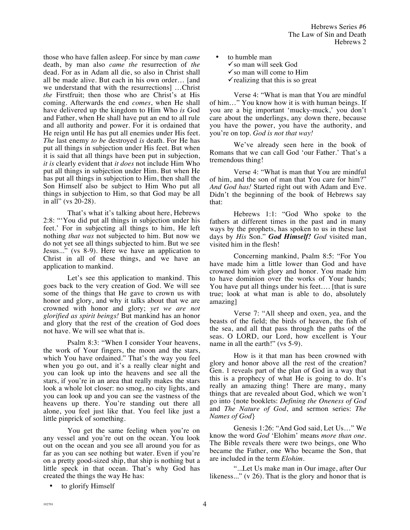those who have fallen asleep. For since by man *came* death, by man also *came the* resurrection of *the* dead. For as in Adam all die, so also in Christ shall all be made alive. But each in his own order… [and we understand that with the resurrections] …Christ *the* Firstfruit; then those who are Christ's at His coming. Afterwards the end *comes*, when He shall have delivered up the kingdom to Him Who *is* God and Father, when He shall have put an end to all rule and all authority and power. For it is ordained that He reign until He has put all enemies under His feet. *The* last enemy *to be* destroyed *is* death. For He has put all things in subjection under His feet. But when it is said that all things have been put in subjection, *it is* clearly evident that *it does* not include Him Who put all things in subjection under Him. But when He has put all things in subjection to Him, then shall the Son Himself also be subject to Him Who put all things in subjection to Him, so that God may be all in all" (vs 20-28).

That's what it's talking about here, Hebrews 2:8: "'You did put all things in subjection under his feet.' For in subjecting all things to him, He left nothing *that was* not subjected to him. But now we do not yet see all things subjected to him. But we see Jesus..." (vs 8-9). Here we have an application to Christ in all of these things, and we have an application to mankind.

Let's see this application to mankind. This goes back to the very creation of God. We will see some of the things that He gave to crown us with honor and glory, and why it talks about that we are crowned with honor and glory; *yet we are not glorified as spirit beings!* But mankind has an honor and glory that the rest of the creation of God does not have. We will see what that is.

Psalm 8:3: "When I consider Your heavens, the work of Your fingers, the moon and the stars, which You have ordained." That's the way you feel when you go out, and it's a really clear night and you can look up into the heavens and see all the stars, if you're in an area that really makes the stars look a whole lot closer: no smog, no city lights, and you can look up and you can see the vastness of the heavens up there. You're standing out there all alone, you feel just like that. You feel like just a little pinprick of something.

You get the same feeling when you're on any vessel and you're out on the ocean. You look out on the ocean and you see all around you for as far as you can see nothing but water. Even if you're on a pretty good-sized ship, that ship is nothing but a little speck in that ocean. That's why God has created the things the way He has:

to glorify Himself

• to humble man

 $\checkmark$  so man will seek God

 $\checkmark$  so man will come to Him

 $\checkmark$  realizing that this is so great

Verse 4: "What is man that You are mindful of him…" You know how it is with human beings. If you are a big important 'mucky-muck,' you don't care about the underlings, any down there, because you have the power, you have the authority, and you're on top. *God is not that way!*

We've already seen here in the book of Romans that we can call God 'our Father.' That's a tremendous thing!

Verse 4: "What is man that You are mindful of him, and the son of man that You care for him?" *And God has!* Started right out with Adam and Eve. Didn't the beginning of the book of Hebrews say that:

Hebrews 1:1: "God Who spoke to the fathers at different times in the past and in many ways by the prophets, has spoken to us in these last days by *His* Son." *God Himself! God* visited man, visited him in the flesh!

Concerning mankind, Psalm 8:5: "For You have made him a little lower than God and have crowned him with glory and honor. You made him to have dominion over the works of Your hands; You have put all things under his feet…. [that is sure true; look at what man is able to do, absolutely amazing]

Verse 7: "All sheep and oxen, yea, and the beasts of the field; the birds of heaven, the fish of the sea, and all that pass through the paths of the seas. O LORD, our Lord, how excellent is Your name in all the earth!" (vs 5-9).

How is it that man has been crowned with glory and honor above all the rest of the creation? Gen. 1 reveals part of the plan of God in a way that this is a prophecy of what He is going to do. It's really an amazing thing! There are many, many things that are revealed about God, which we won't go into {note booklets: *Defining the Oneness of God*  and *The Nature of God*, and sermon series: *The Names of God*}

Genesis 1:26: "And God said, Let Us…" We know the word *God* 'Elohim' means *more than one.* The Bible reveals there were two beings, one Who became the Father, one Who became the Son, that are included in the term *Elohim*.

"...Let Us make man in Our image, after Our likeness..." (v 26). That is the glory and honor that is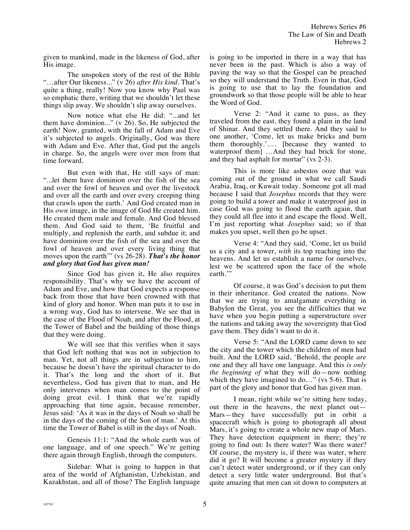given to mankind, made in the likeness of God, after His image.

The unspoken story of the rest of the Bible "…after Our likeness..." (v 26) *after His kind*. That's quite a thing, really! Now you know why Paul was so emphatic there, writing that we shouldn't let these things slip away. We shouldn't slip away ourselves.

Now notice what else He did: "...and let them have dominion..." (v 26). So, He subjected the earth! Now, granted, with the fall of Adam and Eve it's subjected to angels. Originally, God was there with Adam and Eve. After that, God put the angels in charge. So, the angels were over men from that time forward.

But even with that, He still says of man: "...let them have dominion over the fish of the sea and over the fowl of heaven and over the livestock and over all the earth and over every creeping thing that crawls upon the earth.' And God created man in His *own* image, in the image of God He created him. He created them male and female. And God blessed them. And God said to them, 'Be fruitful and multiply, and replenish the earth, and subdue it; and have dominion over the fish of the sea and over the fowl of heaven and over every living thing that moves upon the earth'" (vs 26-28). *That's the honor and glory that God has given man!* 

Since God has given it, He also requires responsibility. That's why we have the account of Adam and Eve, and how that God expects a response back from those that have been crowned with that kind of glory and honor. When man puts it to use in a wrong way, God has to intervene. We see that in the case of the Flood of Noah, and after the Flood, at the Tower of Babel and the building of those things that they were doing.

We will see that this verifies when it says that God left nothing that was not in subjection to man. Yet, not all things are in subjection to him, because he doesn't have the spiritual character to do it. That's the long and the short of it. But nevertheless, God has given that to man, and He only intervenes when man comes to the point of doing great evil. I think that we're rapidly approaching that time again, because remember, Jesus said: 'As it was in the days of Noah so shall be in the days of the coming of the Son of man.' At this time the Tower of Babel is still in the days of Noah.

Genesis 11:1: "And the whole earth was of one language, and of one speech." We're getting there again through English, through the computers.

Sidebar: What is going to happen in that area of the world of Afghanistan, Uzbekistan, and Kazakhstan, and all of those? The English language is going to be imported in there in a way that has never been in the past. Which is also a way of paving the way so that the Gospel can be preached so they will understand the Truth. Even in that, God is going to use that to lay the foundation and groundwork so that those people will be able to hear the Word of God.

Verse 2: "And it came to pass, as they traveled from the east, they found a plain in the land of Shinar. And they settled there. And they said to one another, 'Come, let us make bricks and burn them thoroughly.'…. [because they wanted to waterproof them] …And they had brick for stone, and they had asphalt for mortar" (vs 2-3).

This is more like asbestos ooze that was coming out of the ground in what we call Saudi Arabia, Iraq, or Kuwait today. Someone got all mad because I said that *Josephus* records that they were going to build a tower and make it waterproof just in case God was going to flood the earth again, that they could all flee into it and escape the flood. Well, I'm just reporting what *Josephus* said; so if that makes you upset, well then go be upset.

Verse 4: "And they said, 'Come, let us build us a city and a tower, *with* its top reaching into the heavens. And let us establish a name for ourselves, lest we be scattered upon the face of the whole earth."

Of course, it was God's decision to put them in their inheritance. God created the nations. Now that we are trying to amalgamate everything in Babylon the Great, you see the difficulties that we have when you begin putting a superstructure over the nations and taking away the sovereignty that God gave them. They didn't want to do it.

Verse 5: "And the LORD came down to see the city and the tower which the children of men had built. And the LORD said, 'Behold, the people *are* one and they all have one language. And this *is only the beginning of* what they will do—now nothing which they have imagined to do..." (vs 5-6). That is part of the glory and honor that God has given man.

I mean, right while we're sitting here today, out there in the heavens, the next planet out— Mars—they have successfully put in orbit a spacecraft which is going to photograph all about Mars, it's going to create a whole new map of Mars. They have detection equipment in there; they're going to find out: Is there water? Was there water? Of course, the mystery is, if there was water, where did it go? It will become a greater mystery if they can't detect water underground, or if they can only detect a very little water underground. But that's quite amazing that men can sit down to computers at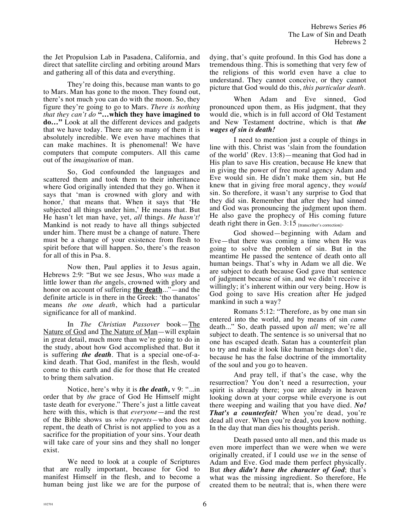the Jet Propulsion Lab in Pasadena, California, and direct that satellite circling and orbiting around Mars and gathering all of this data and everything.

They're doing this, because man wants to go to Mars. Man has gone to the moon. They found out, there's not much you can do with the moon. So, they figure they're going to go to Mars. *There is nothing that they can't do* **"…which they have imagined to do…"** Look at all the different devices and gadgets that we have today. There are so many of them it is absolutely incredible. We even have machines that can make machines. It is phenomenal! We have computers that compute computers. All this came out of the *imagination* of man.

So, God confounded the languages and scattered them and took them to their inheritance where God originally intended that they go. When it says that 'man is crowned with glory and with honor,' that means that. When it says that 'He subjected all things under him,' He means that. But He hasn't let man have, yet, *all* things. *He hasn't!*  Mankind is not ready to have all things subjected under him. There must be a change of nature. There must be a change of your existence from flesh to spirit before that will happen. So, there's the reason for all of this in Psa. 8.

Now then, Paul applies it to Jesus again, Hebrews 2:9: "But we see Jesus, Who *was* made a little lower than *the* angels, crowned with glory and honor on account of suffering **the death**..."—and the definite article is in there in the Greek: 'tho thanatos' means *the one death*, which had a particular significance for all of mankind.

In *The Christian Passover* book—The Nature of God and The Nature of Man—will explain in great detail, much more than we're going to do in the study, about how God accomplished that. But it is suffering *the death*. That is a special one-of-akind death. That God, manifest in the flesh, would come to this earth and die for those that He created to bring them salvation.

Notice, here's why it is *the death,* v 9: "...in order that by *the* grace of God He Himself might taste death for everyone." There's just a little caveat here with this, which is that *everyone*—and the rest of the Bible shows us *who repents—*who does not repent, the death of Christ is not applied to you as a sacrifice for the propitiation of your sins. Your death will take care of your sins and they shall no longer exist.

We need to look at a couple of Scriptures that are really important, because for God to manifest Himself in the flesh, and to become a human being just like we are for the purpose of dying, that's quite profound. In this God has done a tremendous thing. This is something that very few of the religions of this world even have a clue to understand. They cannot conceive, or they cannot picture that God would do this, *this particular death.*

When Adam and Eve sinned, God pronounced upon them, as His judgment, that they would die, which is in full accord of Old Testament and New Testament doctrine, which is that *the wages of sin is death!* 

I need to mention just a couple of things in line with this. Christ was 'slain from the foundation of the world' (Rev. 13:8)—meaning that God had in His plan to save His creation, because He knew that in giving the power of free moral agency Adam and Eve would sin. He didn't make them sin, but He knew that in giving free moral agency, they *would* sin. So therefore, it wasn't any surprise to God that they did sin. Remember that after they had sinned and God was pronouncing the judgment upon them. He also gave the prophecy of His coming future death right there in Gen. 3:15 [transcriber's correction].

God showed—beginning with Adam and Eve—that there was coming a time when He was going to solve the problem of sin. But in the meantime He passed the sentence of death onto all human beings. That's why in Adam we all die. We are subject to death because God gave that sentence of judgment because of sin, and we didn't receive it willingly; it's inherent within our very being. How is God going to save His creation after He judged mankind in such a way?

Romans 5:12: "Therefore, as by one man sin entered into the world, and by means of sin *came* death..." So, death passed upon *all* men; we're all subject to death. The sentence is so universal that no one has escaped death. Satan has a counterfeit plan to try and make it look like human beings don't die, because he has the false doctrine of the immortality of the soul and you go to heaven.

And pray tell, if that's the case, why the resurrection? You don't need a resurrection, your spirit is already there; you are already in heaven looking down at your corpse while everyone is out there weeping and wailing that you have died. *No! That's a counterfeit!* When you're dead, you're dead all over. When you're dead, you know nothing. In the day that man dies his thoughts perish.

Death passed unto all men, and this made us even more imperfect than we were when we were originally created, if I could use *we* in the sense of Adam and Eve. God made them perfect physically. But *they didn't have the character of God*; that's what was the missing ingredient. So therefore, He created them to be neutral; that is, when there were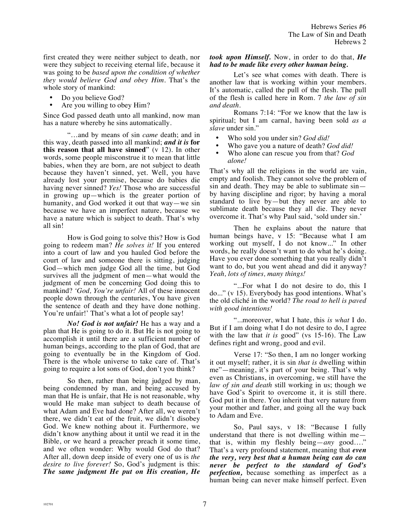first created they were neither subject to death, nor were they subject to receiving eternal life, because it was going to be *based upon the condition of whether they would believe God and obey Him.* That's the whole story of mankind:

- Do you believe God?
- Are you willing to obey Him?

Since God passed death unto all mankind, now man has a nature whereby he sins automatically.

"…and by means of sin *came* death; and in this way, death passed into all mankind; *and it is* **for this reason that all have sinned**" (v 12). In other words, some people misconstrue it to mean that little babies, when they are born, are not subject to death because they haven't sinned, yet. Well, you have already lost your premise, because do babies die having never sinned? *Yes!* Those who are successful in growing up—which is the greater portion of humanity, and God worked it out that way—we sin because we have an imperfect nature, because we have a nature which is subject to death. That's why all sin!

How is God going to solve this? How is God going to redeem man? *He solves it!* If you entered into a court of law and you hauled God before the court of law and someone there is sitting, judging God—which men judge God all the time, but God survives all the judgment of men—what would the judgment of men be concerning God doing this to mankind? *'God, You're unfair!* All of these innocent people down through the centuries, You have given the sentence of death and they have done nothing. You're unfair!' That's what a lot of people say!

*No! God is not unfair!* He has a way and a plan that He is going to do it. But He is not going to accomplish it until there are a sufficient number of human beings, according to the plan of God, that are going to eventually be in the Kingdom of God. There is the whole universe to take care of. That's going to require a lot sons of God, don't you think?

So then, rather than being judged by man, being condemned by man, and being accused by man that He is unfair, that He is not reasonable, why would He make man subject to death because of what Adam and Eve had done? After all, we weren't there, we didn't eat of the fruit, we didn't disobey God. We knew nothing about it. Furthermore, we didn't know anything about it until we read it in the Bible, or we heard a preacher preach it some time, and we often wonder: Why would God do that? After all, down deep inside of every one of us is *the desire to live forever!* So, God's judgment is this: *The same judgment He put on His creation, He*  *took upon Himself.* Now, in order to do that, *He had to be made like every other human being.* 

Let's see what comes with death. There is another law that is working within your members. It's automatic, called the pull of the flesh. The pull of the flesh is called here in Rom. 7 *the law of sin and death*.

Romans 7:14: "For we know that the law is spiritual; but I am carnal, having been sold *as a slave* under sin."

- Who sold you under sin? *God did!*<br>• Who gave you a nature of death? G
- Who gave you a nature of death? *God did!*
- Who alone can rescue you from that? *God alone!*

That's why all the religions in the world are vain, empty and foolish. They cannot solve the problem of sin and death. They may be able to sublimate sin by having discipline and rigor; by having a moral standard to live by—but they never are able to sublimate death because they all die. They never overcome it. That's why Paul said, 'sold under sin.'

Then he explains about the nature that human beings have, v 15: "Because what I am working out myself, I do not know..." In other words, he really doesn't want to do what he's doing. Have you ever done something that you really didn't want to do, but you went ahead and did it anyway? *Yeah, lots of times, many things!*

"...For what I do not desire to do, this I do..." (v 15). Everybody has good intentions. What's the old cliché in the world? *The road to hell is paved with good intentions!*

"...moreover, what I hate, this *is what* I do. But if I am doing what I do not desire to do, I agree with the law that *it is* good" (vs 15-16). The Law defines right and wrong, good and evil.

Verse 17: "So then, I am no longer working it out myself; rather, it is sin *that is* dwelling within me"—meaning, it's part of your being. That's why even as Christians, in overcoming, we still have the *law of sin and death* still working in us; though we have God's Spirit to overcome it, it is still there. God put it in there. You inherit that very nature from your mother and father, and going all the way back to Adam and Eve.

So, Paul says, v 18: "Because I fully understand that there is not dwelling within me that is, within my fleshly being—*any* good…." That's a very profound statement, meaning that *even the very, very best that a human being can do can never be perfect to the standard of God's perfection,* because something as imperfect as a human being can never make himself perfect. Even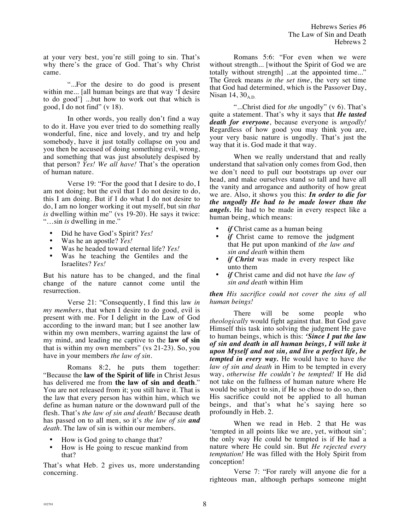at your very best, you're still going to sin. That's why there's the grace of God. That's why Christ came.

"...For the desire to do good is present within me... [all human beings are that way 'I desire to do good'] ...but how to work out that which is good, I do not find" (v 18).

In other words, you really don't find a way to do it. Have you ever tried to do something really wonderful, fine, nice and lovely, and try and help somebody, have it just totally collapse on you and you then be accused of doing something evil, wrong, and something that was just absolutely despised by that person? *Yes! We all have!* That's the operation of human nature.

Verse 19: "For the good that I desire to do, I am not doing; but the evil that I do not desire to do, this I am doing. But if I do what I do not desire to do, I am no longer working it out myself, but sin *that is* dwelling within me" (vs 19-20). He says it twice: "…sin *is* dwelling in me."

- Did he have God's Spirit? *Yes!*
- Was he an apostle? *Yes!*
- Was he headed toward eternal life? *Yes!*<br>• Was he teaching the Gentiles and t
- Was he teaching the Gentiles and the Israelites? *Yes!*

But his nature has to be changed, and the final change of the nature cannot come until the resurrection.

Verse 21: "Consequently, I find this law *in my members*, that when I desire to do good, evil is present with me. For I delight in the Law of God according to the inward man; but I see another law within my own members, warring against the law of my mind, and leading me captive to the **law of sin** that is within my own members" (vs 21-23). So, you have in your members *the law of sin*.

Romans 8:2, he puts them together: "Because the **law of the Spirit of life** in Christ Jesus has delivered me from **the law of sin and death**." You are not released from it; you still have it. That is the law that every person has within him, which we define as human nature or the downward pull of the flesh. That's *the law of sin and death!* Because death has passed on to all men, so it's *the law of sin and death*. The law of sin is within our members.

- How is God going to change that?
- How is He going to rescue mankind from that?

That's what Heb. 2 gives us, more understanding concerning.

Romans 5:6: "For even when we were without strength... [without the Spirit of God we are totally without strength] ...at the appointed time..." The Greek means *in the set time*, the very set time that God had determined, which is the Passover Day, Nisan 14,  $30<sub>A.D.</sub>$ 

"...Christ died for *the* ungodly" (v 6). That's quite a statement. That's why it says that *He tasted death for everyone*, because everyone is *ungodly!* Regardless of how good you may think you are, your very basic nature is ungodly. That's just the way that it is. God made it that way.

When we really understand that and really understand that salvation only comes from God, then we don't need to pull our bootstraps up over our head, and make ourselves stand so tall and have all the vanity and arrogance and authority of how great we are. Also, it shows you this: *In order to die for the ungodly He had to be made lower than the angels.* He had to be made in every respect like a human being, which means:

- *if* Christ came as a human being<br>• *if* Christ came to remove the
- *if* Christ came to remove the judgment that He put upon mankind of *the law and sin and death* within them
- *if Christ* was made in every respect like unto them
- *if* Christ came and did not have *the law of sin and death* within Him

*then His sacrifice could not cover the sins of all human beings!*

There will be some people who *theologically* would fight against that. But God gave Himself this task into solving the judgment He gave to human beings, which is this: *'Since I put the law of sin and death in all human beings, I will take it upon Myself and not sin, and live a perfect life, be tempted in every way.* He would have to have *the law of sin and death* in Him to be tempted in every way, *otherwise He couldn't be tempted!* If He did not take on the fullness of human nature where He would be subject to sin, if He so chose to do so, then His sacrifice could not be applied to all human beings, and that's what he's saying here so profoundly in Heb. 2.

When we read in Heb. 2 that He was 'tempted in all points like we are, yet, without sin'; the only way He could be tempted is if He had a nature where He could sin. But *He rejected every temptation!* He was filled with the Holy Spirit from conception!

Verse 7: "For rarely will anyone die for a righteous man, although perhaps someone might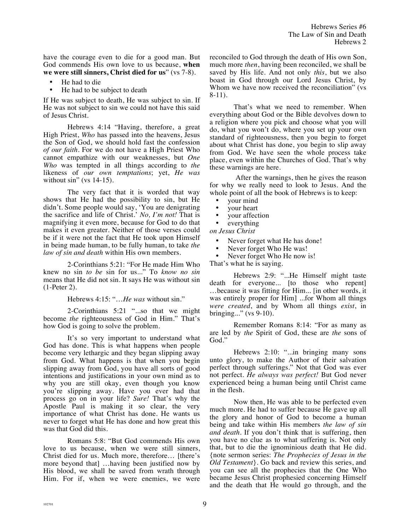have the courage even to die for a good man. But God commends His own love to us because, **when we were still sinners, Christ died for us**" (vs 7-8).

- He had to die
- He had to be subject to death

If He was subject to death, He was subject to sin. If He was not subject to sin we could not have this said of Jesus Christ.

Hebrews 4:14 "Having, therefore, a great High Priest, *Who* has passed into the heavens, Jesus the Son of God, we should hold fast the confession *of our faith*. For we do not have a High Priest Who cannot empathize with our weaknesses, but *One Who* was tempted in all things according to *the* likeness of *our own temptations*; yet, *He was* without  $\sin$ " (vs 14-15).

The very fact that it is worded that way shows that He had the possibility to sin, but He didn't. Some people would say, 'You are denigrating the sacrifice and life of Christ.' *No, I'm not!* That is magnifying it even more, because for God to do that makes it even greater. Neither of those verses could be if it were not the fact that He took upon Himself in being made human, to be fully human, to take *the law of sin and death* within His own members.

2-Corinthians 5:21: "For He made Him Who knew no sin *to be* sin for us..." To *know no sin* means that He did not sin. It says He was without sin (1-Peter 2).

Hebrews 4:15: "…*He was* without sin."

2-Corinthians 5:21 "...so that we might become *the* righteousness of God in Him." That's how God is going to solve the problem.

It's so very important to understand what God has done. This is what happens when people become very lethargic and they began slipping away from God. What happens is that when you begin slipping away from God, you have all sorts of good intentions and justifications in your own mind as to why you are still okay, even though you know you're slipping away. Have you ever had that process go on in your life? *Sure!* That's why the Apostle Paul is making it so clear, the very importance of what Christ has done. He wants us never to forget what He has done and how great this was that God did this.

Romans 5:8: "But God commends His own love to us because, when we were still sinners, Christ died for us. Much more, therefore… [there's more beyond that] …having been justified now by His blood, we shall be saved from wrath through Him. For if, when we were enemies, we were reconciled to God through the death of His own Son, much more *then*, having been reconciled, we shall be saved by His life. And not only *this*, but we also boast in God through our Lord Jesus Christ, by Whom we have now received the reconciliation" (vs 8-11).

That's what we need to remember. When everything about God or the Bible devolves down to a religion where you pick and choose what you will do, what you won't do, where you set up your own standard of righteousness, then you begin to forget about what Christ has done, you begin to slip away from God. We have seen the whole process take place, even within the Churches of God. That's why these warnings are here.

 After the warnings, then he gives the reason for why we really need to look to Jesus. And the whole point of all the book of Hebrews is to keep:

- your mind
- your heart<br>• your affect
- your affection

everything

*on Jesus Christ*

- Never forget what He has done!
- Never forget Who He was!<br>• Never forget Who He now

Never forget Who He now is!

That's what he is saying.

Hebrews 2:9: "...He Himself might taste death for everyone... [to those who repent] …because it was fitting for Him... [in other words, it was entirely proper for Him] ...for Whom all things *were created*, and by Whom all things *exist*, in bringing..." (vs 9-10).

Remember Romans 8:14: "For as many as are led by *the* Spirit of God, these are *the* sons of God."

Hebrews 2:10: "...in bringing many sons unto glory, to make the Author of their salvation perfect through sufferings." Not that God was ever not perfect. *He always was perfect!* But God never experienced being a human being until Christ came in the flesh.

Now then, He was able to be perfected even much more. He had to suffer because He gave up all the glory and honor of God to become a human being and take within His members *the law of sin and death.* If you don't think that is suffering, then you have no clue as to what suffering is. Not only that, but to die the ignominious death that He did. {note sermon series: *The Prophecies of Jesus in the Old Testament*}. Go back and review this series, and you can see all the prophecies that the One Who became Jesus Christ prophesied concerning Himself and the death that He would go through, and the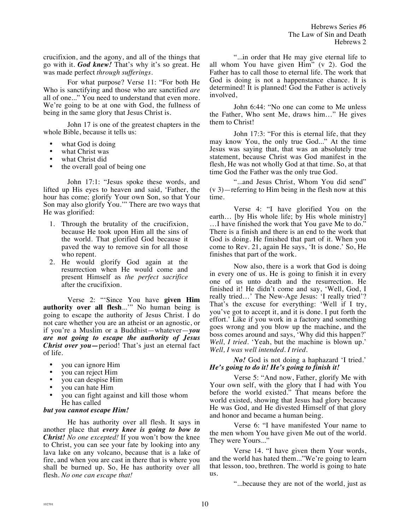crucifixion, and the agony, and all of the things that go with it. *God knew!* That's why it's so great. He was made perfect *through sufferings*.

For what purpose? Verse 11: "For both He Who is sanctifying and those who are sanctified *are* all of one..." You need to understand that even more. We're going to be at one with God, the fullness of being in the same glory that Jesus Christ is.

John 17 is one of the greatest chapters in the whole Bible, because it tells us:

- what God is doing
- what Christ was
- what Christ did
- the overall goal of being one

John 17:1: "Jesus spoke these words, and lifted up His eyes to heaven and said, 'Father, the hour has come; glorify Your own Son, so that Your Son may also glorify You.'" There are two ways that He was glorified:

- 1. Through the brutality of the crucifixion, because He took upon Him all the sins of the world. That glorified God because it paved the way to remove sin for all those who repent.
- 2. He would glorify God again at the resurrection when He would come and present Himself as *the perfect sacrifice* after the crucifixion.

Verse 2: "'Since You have **given Him authority over all flesh**...'" No human being is going to escape the authority of Jesus Christ. I do not care whether you are an atheist or an agnostic, or if you're a Muslim or a Buddhist—whatever—*you are not going to escape the authority of Jesus Christ over you—*period! That's just an eternal fact of life.

- you can ignore Him
- you can reject Him
- you can despise Him
- you can hate Him
- you can fight against and kill those whom He has called

## *but you cannot escape Him!*

He has authority over all flesh. It says in another place that *every knee is going to bow to Christ! No one excepted!* If you won't bow the knee to Christ, you can see your fate by looking into any lava lake on any volcano, because that is a lake of fire, and when you are cast in there that is where you shall be burned up. So, He has authority over all flesh. *No one can escape that!*

"...in order that He may give eternal life to all whom You have given Him" (v 2). God the Father has to call those to eternal life. The work that God is doing is not a happenstance chance. It is determined! It is planned! God the Father is actively involved,

John 6:44: "No one can come to Me unless the Father, Who sent Me, draws him…" He gives them to Christ!

John 17:3: "For this is eternal life, that they may know You, the only true God..." At the time Jesus was saying that, that was an absolutely true statement, because Christ was God manifest in the flesh, He was not wholly God at that time. So, at that time God the Father was the only true God.

"...and Jesus Christ, Whom You did send" (v 3)—referring to Him being in the flesh now at this time.

Verse 4: "I have glorified You on the earth… [by His whole life; by His whole ministry] …I have finished the work that You gave Me to do." There is a finish and there is an end to the work that God is doing. He finished that part of it. When you come to Rev. 21, again He says, 'It is done.' So, He finishes that part of the work.

Now also, there is a work that God is doing in every one of us. He is going to finish it in every one of us unto death and the resurrection. He finished it! He didn't come and say, 'Well, God, I really tried…' The New-Age Jesus: 'I really tried'? That's the excuse for everything: 'Well if I try, you've got to accept it, and it is done. I put forth the effort.' Like if you work in a factory and something goes wrong and you blow up the machine, and the boss comes around and says, 'Why did this happen?' *Well, I tried*. 'Yeah, but the machine is blown up.' *Well, I was well intended. I tried*.

*No!* God is not doing a haphazard 'I tried.' *He's going to do it! He's going to finish it!* 

Verse 5: "And now, Father, glorify Me with Your own self, with the glory that I had with You before the world existed." That means before the world existed, showing that Jesus had glory because He was God, and He divested Himself of that glory and honor and became a human being.

Verse 6: "I have manifested Your name to the men whom You have given Me out of the world. They were Yours..."

Verse 14. "I have given them Your words, and the world has hated them..."We're going to learn that lesson, too, brethren. The world is going to hate us.

"...because they are not of the world, just as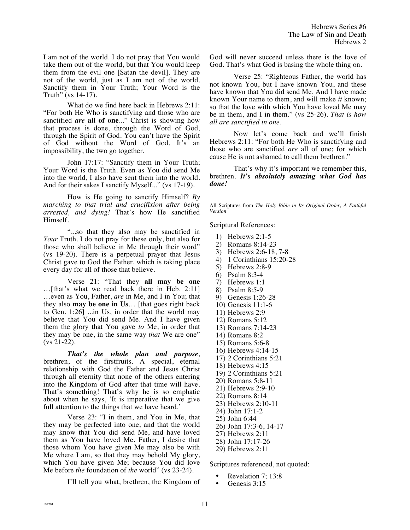I am not of the world. I do not pray that You would take them out of the world, but that You would keep them from the evil one [Satan the devil]. They are not of the world, just as I am not of the world. Sanctify them in Your Truth; Your Word is the Truth" (vs 14-17).

What do we find here back in Hebrews 2:11: "For both He Who is sanctifying and those who are sanctified *are* **all of one**..." Christ is showing how that process is done, through the Word of God, through the Spirit of God. You can't have the Spirit of God without the Word of God. It's an impossibility, the two go together.

John 17:17: "Sanctify them in Your Truth; Your Word is the Truth. Even as You did send Me into the world, I also have sent them into the world. And for their sakes I sanctify Myself..." (vs 17-19).

How is He going to sanctify Himself? *By marching to that trial and crucifixion after being arrested, and dying!* That's how He sanctified Himself.

"...so that they also may be sanctified in *Your* Truth. I do not pray for these only, but also for those who shall believe in Me through their word" (vs 19-20). There is a perpetual prayer that Jesus Christ gave to God the Father, which is taking place every day for all of those that believe.

Verse 21: "That they **all may be one** …[that's what we read back there in Heb. 2:11] …even as You, Father, *are* in Me, and I in You; that they also **may be one in Us**… [that goes right back to Gen. 1:26] ...in Us, in order that the world may believe that You did send Me. And I have given them the glory that You gave *to* Me, in order that they may be one, in the same way *that* We are one"  $(vs 21-22)$ .

*That's the whole plan and purpose*, brethren, of the firstfruits. A special, eternal relationship with God the Father and Jesus Christ through all eternity that none of the others entering into the Kingdom of God after that time will have. That's something! That's why he is so emphatic about when he says, 'It is imperative that we give full attention to the things that we have heard.'

Verse 23: "I in them, and You in Me, that they may be perfected into one; and that the world may know that You did send Me, and have loved them as You have loved Me. Father, I desire that those whom You have given Me may also be with Me where I am, so that they may behold My glory, which You have given Me; because You did love Me before *the* foundation of *the* world" (vs 23-24).

I'll tell you what, brethren, the Kingdom of

God will never succeed unless there is the love of God. That's what God is basing the whole thing on.

Verse 25: "Righteous Father, the world has not known You, but I have known You, and these have known that You did send Me. And I have made known Your name to them, and will make *it* known; so that the love with which You have loved Me may be in them, and I in them." (vs 25-26). *That is how all are sanctified in one.* 

Now let's come back and we'll finish Hebrews 2:11: "For both He Who is sanctifying and those who are sanctified *are* all of one; for which cause He is not ashamed to call them brethren."

That's why it's important we remember this, brethren. *It's absolutely amazing what God has done!* 

All Scriptures from *The Holy Bible in Its Original Order, A Faithful Version* 

Scriptural References:

- 1) Hebrews 2:1-5
- 2) Romans 8:14-23
- 3) Hebrews 2:6-18, 7-8
- 4) 1 Corinthians 15:20-28
- 5) Hebrews 2:8-9
- 6) Psalm 8:3-4
- 7) Hebrews 1:1
- 8) Psalm 8:5-9
- 9) Genesis 1:26-28
- 10) Genesis 11:1-6
- 11) Hebrews 2:9
- 12) Romans 5:12
- 13) Romans 7:14-23
- 14) Romans 8:2
- 15) Romans 5:6-8
- 16) Hebrews 4:14-15
- 17) 2 Corinthians 5:21
- 18) Hebrews 4:15
- 19) 2 Corinthians 5:21
- 20) Romans 5:8-11
- 21) Hebrews 2:9-10
- 22) Romans 8:14
- 23) Hebrews 2:10-11
- 24) John 17:1-2
- 25) John 6:44
- 26) John 17:3-6, 14-17
- 27) Hebrews 2:11
- 28) John 17:17-26
- 29) Hebrews 2:11

Scriptures referenced, not quoted:

- Revelation 7; 13:8
- Genesis 3:15